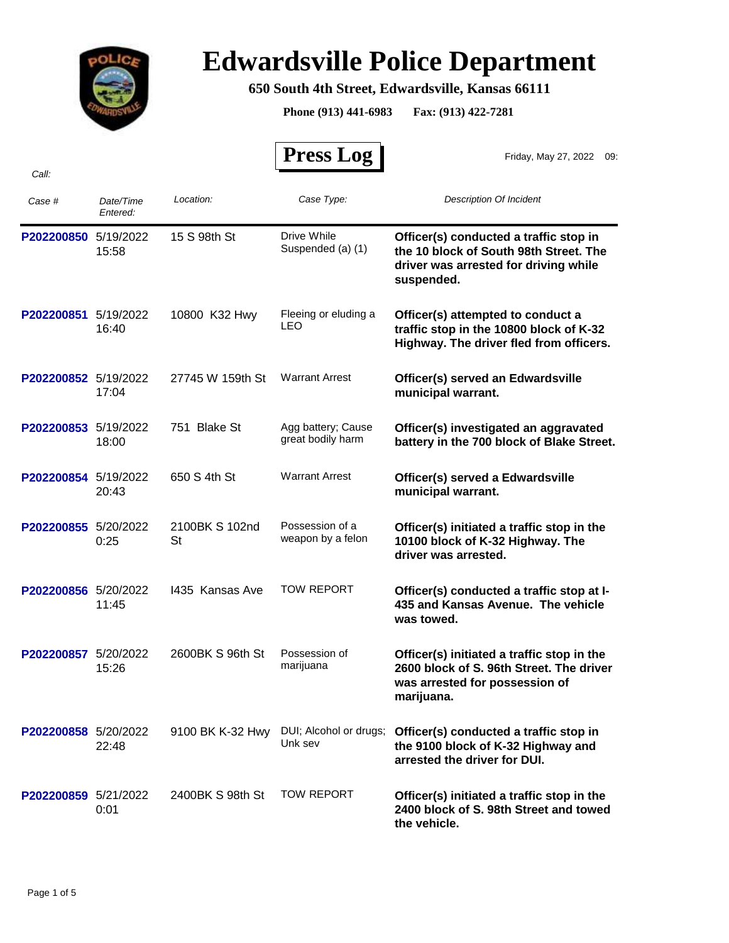

## **Edwardsville Police Department**

## **650 South 4th Street, Edwardsville, Kansas 66111**

**Phone (913) 441-6983 Fax: (913) 422-7281**

|                      |                       |                             | <b>Press Log</b>                        | Friday, May 27, 2022 09:                                                                                                                |
|----------------------|-----------------------|-----------------------------|-----------------------------------------|-----------------------------------------------------------------------------------------------------------------------------------------|
| Call:                |                       |                             |                                         |                                                                                                                                         |
| Case #               | Date/Time<br>Entered: | Location:                   | Case Type:                              | <b>Description Of Incident</b>                                                                                                          |
| P202200850           | 5/19/2022<br>15:58    | 15 S 98th St                | Drive While<br>Suspended (a) (1)        | Officer(s) conducted a traffic stop in<br>the 10 block of South 98th Street. The<br>driver was arrested for driving while<br>suspended. |
| P202200851           | 5/19/2022<br>16:40    | 10800 K32 Hwy               | Fleeing or eluding a<br>LEO             | Officer(s) attempted to conduct a<br>traffic stop in the 10800 block of K-32<br>Highway. The driver fled from officers.                 |
| P202200852 5/19/2022 | 17:04                 | 27745 W 159th St            | <b>Warrant Arrest</b>                   | Officer(s) served an Edwardsville<br>municipal warrant.                                                                                 |
| P202200853 5/19/2022 | 18:00                 | 751 Blake St                | Agg battery; Cause<br>great bodily harm | Officer(s) investigated an aggravated<br>battery in the 700 block of Blake Street.                                                      |
| P202200854 5/19/2022 | 20:43                 | 650 S 4th St                | <b>Warrant Arrest</b>                   | Officer(s) served a Edwardsville<br>municipal warrant.                                                                                  |
| P202200855 5/20/2022 | 0:25                  | 2100BK S 102nd<br><b>St</b> | Possession of a<br>weapon by a felon    | Officer(s) initiated a traffic stop in the<br>10100 block of K-32 Highway. The<br>driver was arrested.                                  |
| P202200856 5/20/2022 | 11:45                 | 1435 Kansas Ave             | <b>TOW REPORT</b>                       | Officer(s) conducted a traffic stop at I-<br>435 and Kansas Avenue. The vehicle<br>was towed.                                           |
| P202200857           | 5/20/2022<br>15:26    | 2600BK S 96th St            | Possession of<br>marijuana              | Officer(s) initiated a traffic stop in the<br>2600 block of S. 96th Street. The driver<br>was arrested for possession of<br>marijuana.  |
| P202200858 5/20/2022 | 22:48                 | 9100 BK K-32 Hwy            | DUI; Alcohol or drugs;<br>Unk sev       | Officer(s) conducted a traffic stop in<br>the 9100 block of K-32 Highway and<br>arrested the driver for DUI.                            |
| P202200859 5/21/2022 | 0:01                  | 2400BK S 98th St            | <b>TOW REPORT</b>                       | Officer(s) initiated a traffic stop in the<br>2400 block of S. 98th Street and towed<br>the vehicle.                                    |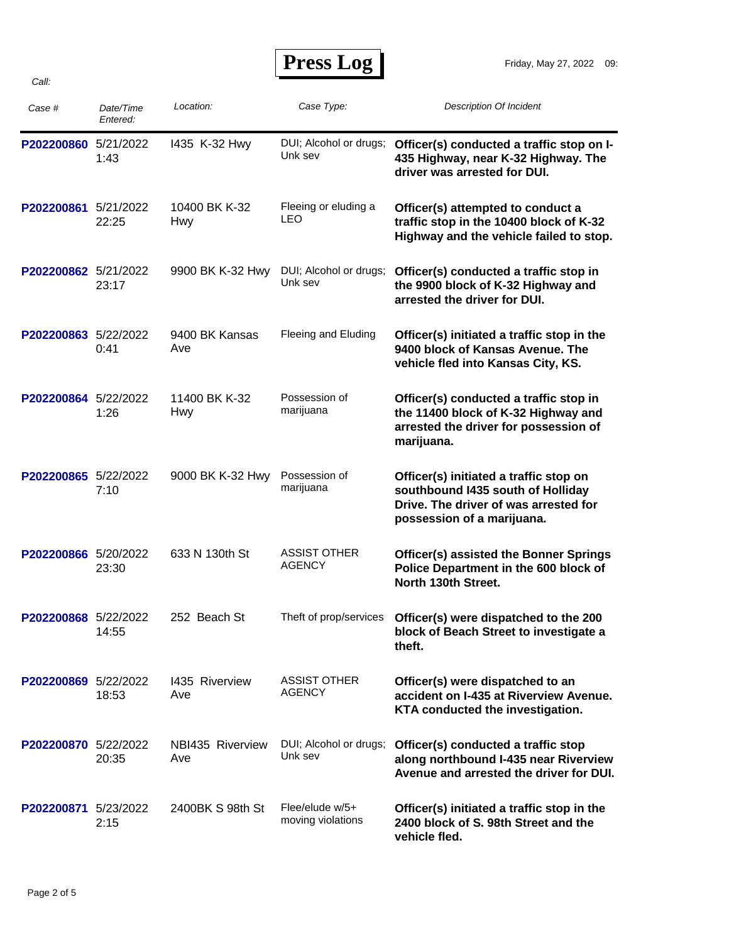**Press Log** 

| Case #               | Date/Time<br>Entered: | Location:                   | Case Type:                           | <b>Description Of Incident</b>                                                                                                                     |
|----------------------|-----------------------|-----------------------------|--------------------------------------|----------------------------------------------------------------------------------------------------------------------------------------------------|
| P202200860           | 5/21/2022<br>1:43     | 1435 K-32 Hwy               | DUI; Alcohol or drugs;<br>Unk sev    | Officer(s) conducted a traffic stop on I-<br>435 Highway, near K-32 Highway. The<br>driver was arrested for DUI.                                   |
| P202200861           | 5/21/2022<br>22:25    | 10400 BK K-32<br><b>Hwy</b> | Fleeing or eluding a<br>LEO          | Officer(s) attempted to conduct a<br>traffic stop in the 10400 block of K-32<br>Highway and the vehicle failed to stop.                            |
| P202200862 5/21/2022 | 23:17                 | 9900 BK K-32 Hwy            | DUI; Alcohol or drugs;<br>Unk sev    | Officer(s) conducted a traffic stop in<br>the 9900 block of K-32 Highway and<br>arrested the driver for DUI.                                       |
| P202200863 5/22/2022 | 0:41                  | 9400 BK Kansas<br>Ave       | Fleeing and Eluding                  | Officer(s) initiated a traffic stop in the<br>9400 block of Kansas Avenue. The<br>vehicle fled into Kansas City, KS.                               |
| P202200864           | 5/22/2022<br>1:26     | 11400 BK K-32<br>Hwy        | Possession of<br>marijuana           | Officer(s) conducted a traffic stop in<br>the 11400 block of K-32 Highway and<br>arrested the driver for possession of<br>marijuana.               |
| P202200865           | 5/22/2022<br>7:10     | 9000 BK K-32 Hwy            | Possession of<br>marijuana           | Officer(s) initiated a traffic stop on<br>southbound I435 south of Holliday<br>Drive. The driver of was arrested for<br>possession of a marijuana. |
| P202200866 5/20/2022 | 23:30                 | 633 N 130th St              | <b>ASSIST OTHER</b><br><b>AGENCY</b> | <b>Officer(s) assisted the Bonner Springs</b><br>Police Department in the 600 block of<br>North 130th Street.                                      |
| P202200868 5/22/2022 | 14:55                 | 252 Beach St                | Theft of prop/services               | Officer(s) were dispatched to the 200<br>block of Beach Street to investigate a<br>theft.                                                          |
| P202200869 5/22/2022 | 18:53                 | 1435 Riverview<br>Ave       | <b>ASSIST OTHER</b><br><b>AGENCY</b> | Officer(s) were dispatched to an<br>accident on I-435 at Riverview Avenue.<br>KTA conducted the investigation.                                     |
| P202200870 5/22/2022 | 20:35                 | NBI435 Riverview<br>Ave     | DUI; Alcohol or drugs;<br>Unk sev    | Officer(s) conducted a traffic stop<br>along northbound I-435 near Riverview<br>Avenue and arrested the driver for DUI.                            |
| P202200871 5/23/2022 | 2:15                  | 2400BK S 98th St            | Flee/elude w/5+<br>moving violations | Officer(s) initiated a traffic stop in the<br>2400 block of S. 98th Street and the<br>vehicle fled.                                                |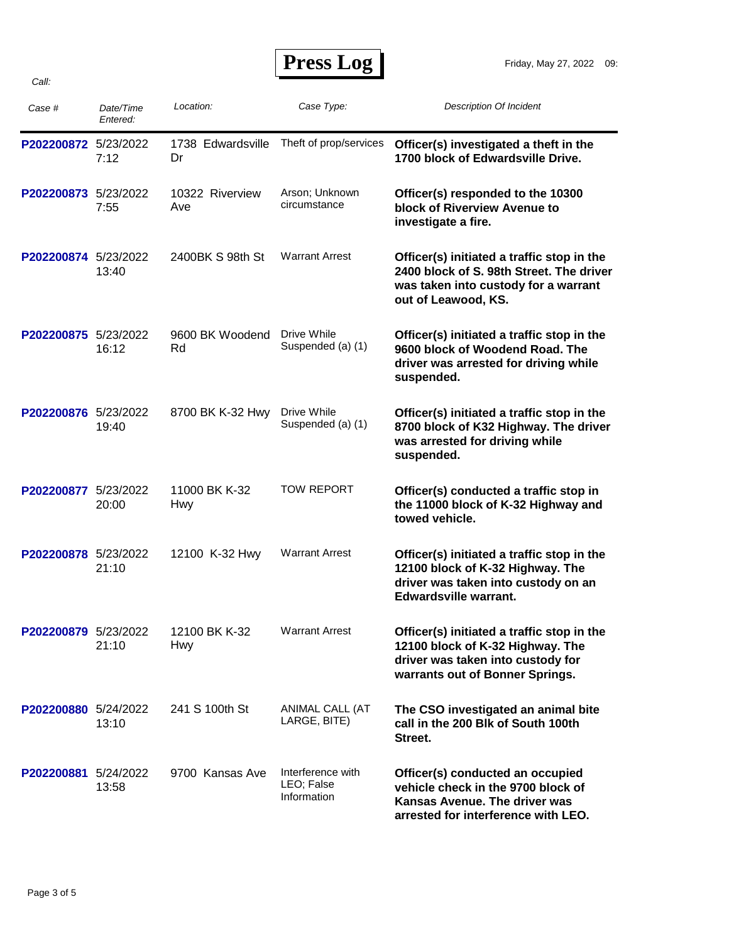| Case #               | Date/Time<br>Entered: | Location:               | Case Type:                                     | <b>Description Of Incident</b>                                                                                                                         |
|----------------------|-----------------------|-------------------------|------------------------------------------------|--------------------------------------------------------------------------------------------------------------------------------------------------------|
| P202200872 5/23/2022 | 7:12                  | 1738 Edwardsville<br>Dr | Theft of prop/services                         | Officer(s) investigated a theft in the<br>1700 block of Edwardsville Drive.                                                                            |
| P202200873 5/23/2022 | 7:55                  | 10322 Riverview<br>Ave  | Arson; Unknown<br>circumstance                 | Officer(s) responded to the 10300<br>block of Riverview Avenue to<br>investigate a fire.                                                               |
| P202200874 5/23/2022 | 13:40                 | 2400BK S 98th St        | <b>Warrant Arrest</b>                          | Officer(s) initiated a traffic stop in the<br>2400 block of S. 98th Street. The driver<br>was taken into custody for a warrant<br>out of Leawood, KS.  |
| P202200875           | 5/23/2022<br>16:12    | 9600 BK Woodend<br>Rd   | Drive While<br>Suspended (a) (1)               | Officer(s) initiated a traffic stop in the<br>9600 block of Woodend Road. The<br>driver was arrested for driving while<br>suspended.                   |
| P202200876 5/23/2022 | 19:40                 | 8700 BK K-32 Hwy        | Drive While<br>Suspended (a) (1)               | Officer(s) initiated a traffic stop in the<br>8700 block of K32 Highway. The driver<br>was arrested for driving while<br>suspended.                    |
| P202200877           | 5/23/2022<br>20:00    | 11000 BK K-32<br>Hwy    | <b>TOW REPORT</b>                              | Officer(s) conducted a traffic stop in<br>the 11000 block of K-32 Highway and<br>towed vehicle.                                                        |
| P202200878 5/23/2022 | 21:10                 | 12100 K-32 Hwy          | <b>Warrant Arrest</b>                          | Officer(s) initiated a traffic stop in the<br>12100 block of K-32 Highway. The<br>driver was taken into custody on an<br><b>Edwardsville warrant.</b>  |
| P202200879 5/23/2022 | 21:10                 | 12100 BK K-32<br>Hwy    | <b>Warrant Arrest</b>                          | Officer(s) initiated a traffic stop in the<br>12100 block of K-32 Highway. The<br>driver was taken into custody for<br>warrants out of Bonner Springs. |
| P202200880 5/24/2022 | 13:10                 | 241 S 100th St          | ANIMAL CALL (AT<br>LARGE, BITE)                | The CSO investigated an animal bite<br>call in the 200 Blk of South 100th<br>Street.                                                                   |
| P202200881 5/24/2022 | 13:58                 | 9700 Kansas Ave         | Interference with<br>LEO; False<br>Information | Officer(s) conducted an occupied<br>vehicle check in the 9700 block of<br>Kansas Avenue. The driver was<br>arrested for interference with LEO.         |

*Call:*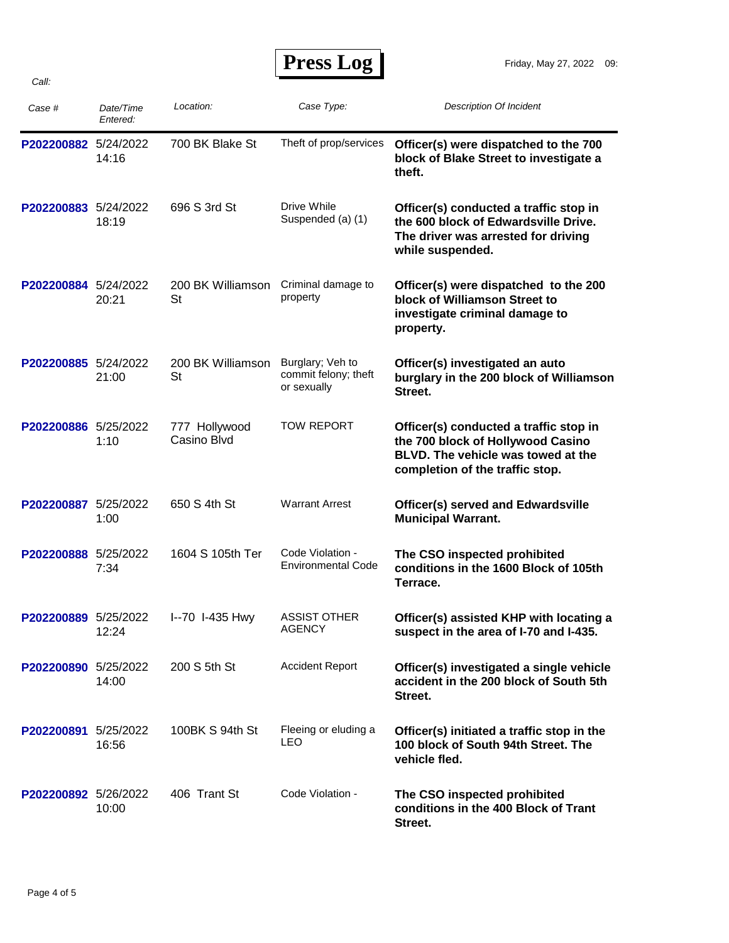*Call:*

| Press Log |  |
|-----------|--|
|-----------|--|

| Case #               | Date/Time<br>Entered: | Location:                      | Case Type:                                              | <b>Description Of Incident</b>                                                                                                                       |
|----------------------|-----------------------|--------------------------------|---------------------------------------------------------|------------------------------------------------------------------------------------------------------------------------------------------------------|
| P202200882 5/24/2022 | 14:16                 | 700 BK Blake St                | Theft of prop/services                                  | Officer(s) were dispatched to the 700<br>block of Blake Street to investigate a<br>theft.                                                            |
| P202200883 5/24/2022 | 18:19                 | 696 S 3rd St                   | Drive While<br>Suspended (a) (1)                        | Officer(s) conducted a traffic stop in<br>the 600 block of Edwardsville Drive.<br>The driver was arrested for driving<br>while suspended.            |
| P202200884 5/24/2022 | 20:21                 | 200 BK Williamson<br><b>St</b> | Criminal damage to<br>property                          | Officer(s) were dispatched to the 200<br>block of Williamson Street to<br>investigate criminal damage to<br>property.                                |
| P202200885 5/24/2022 | 21:00                 | 200 BK Williamson<br>St        | Burglary; Veh to<br>commit felony; theft<br>or sexually | Officer(s) investigated an auto<br>burglary in the 200 block of Williamson<br>Street.                                                                |
| P202200886 5/25/2022 | 1:10                  | 777 Hollywood<br>Casino Blvd   | <b>TOW REPORT</b>                                       | Officer(s) conducted a traffic stop in<br>the 700 block of Hollywood Casino<br>BLVD. The vehicle was towed at the<br>completion of the traffic stop. |
| P202200887 5/25/2022 | 1:00                  | 650 S 4th St                   | <b>Warrant Arrest</b>                                   | <b>Officer(s) served and Edwardsville</b><br><b>Municipal Warrant.</b>                                                                               |
| P202200888 5/25/2022 | 7:34                  | 1604 S 105th Ter               | Code Violation -<br><b>Environmental Code</b>           | The CSO inspected prohibited<br>conditions in the 1600 Block of 105th<br>Terrace.                                                                    |
| P202200889 5/25/2022 | 12:24                 | I--70 I-435 Hwy                | <b>ASSIST OTHER</b><br>AGENCY                           | Officer(s) assisted KHP with locating a<br>suspect in the area of I-70 and I-435.                                                                    |
| P202200890 5/25/2022 | 14:00                 | 200 S 5th St                   | <b>Accident Report</b>                                  | Officer(s) investigated a single vehicle<br>accident in the 200 block of South 5th<br>Street.                                                        |
| P202200891 5/25/2022 | 16:56                 | 100BK S 94th St                | Fleeing or eluding a<br><b>LEO</b>                      | Officer(s) initiated a traffic stop in the<br>100 block of South 94th Street. The<br>vehicle fled.                                                   |
| P202200892 5/26/2022 | 10:00                 | 406 Trant St                   | Code Violation -                                        | The CSO inspected prohibited<br>conditions in the 400 Block of Trant<br>Street.                                                                      |